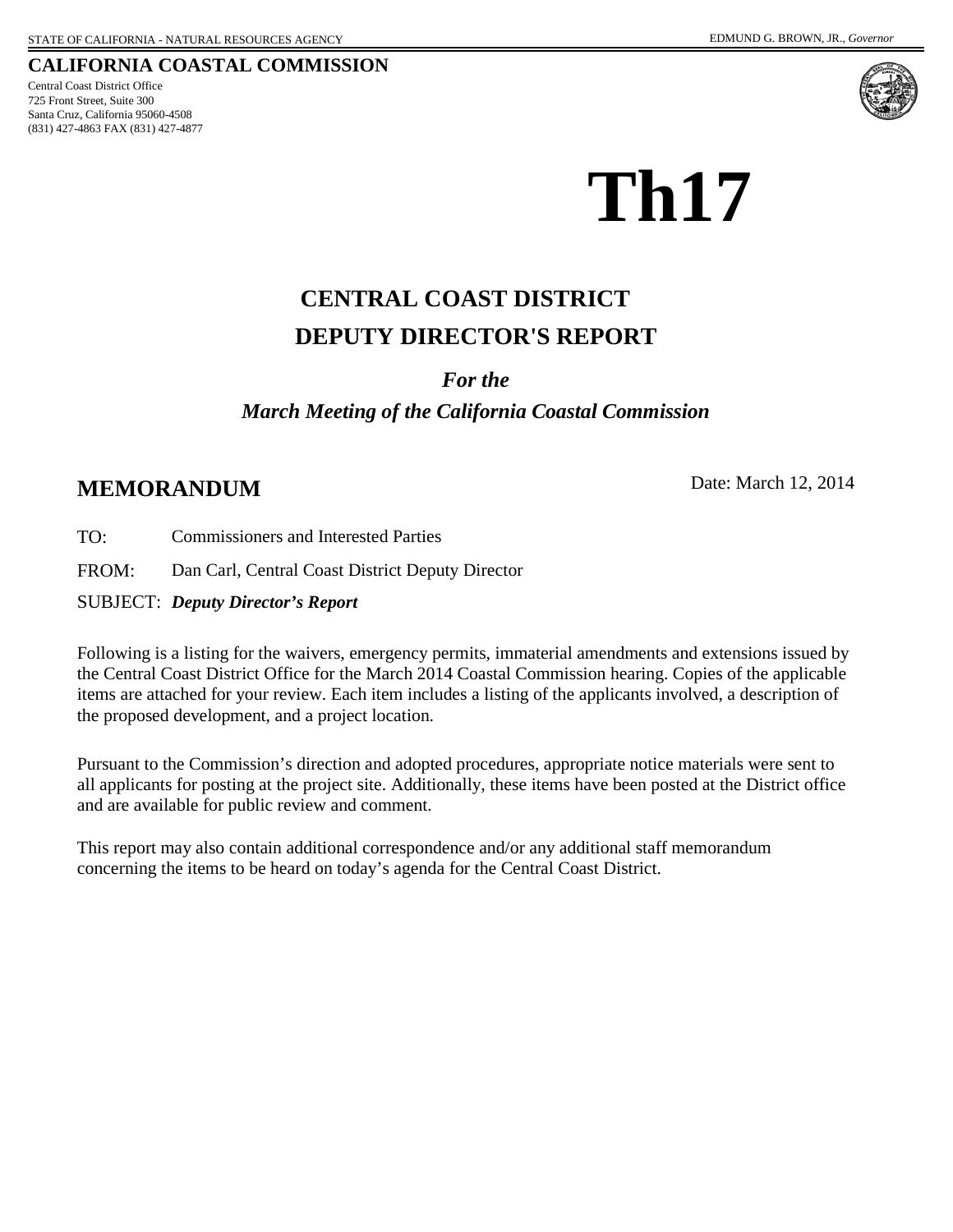725 Front Street, Suite 300 Santa Cruz, California 95060-4508 (831) 427-4863 FAX (831) 427-4877 Central Coast District Office





# **Th17**

# **DEPUTY DIRECTOR'S REPORT CENTRAL COAST DISTRICT**

#### *For the*

# *March Meeting of the California Coastal Commission*

# **MEMORANDUM** Date: March 12, 2014

TO: Commissioners and Interested Parties

FROM: Dan Carl, Central Coast District Deputy Director

SUBJECT: *Deputy Director's Report*

Following is a listing for the waivers, emergency permits, immaterial amendments and extensions issued by the Central Coast District Office for the March 2014 Coastal Commission hearing. Copies of the applicable items are attached for your review. Each item includes a listing of the applicants involved, a description of the proposed development, and a project location.

Pursuant to the Commission's direction and adopted procedures, appropriate notice materials were sent to all applicants for posting at the project site. Additionally, these items have been posted at the District office and are available for public review and comment.

This report may also contain additional correspondence and/or any additional staff memorandum concerning the items to be heard on today's agenda for the Central Coast District.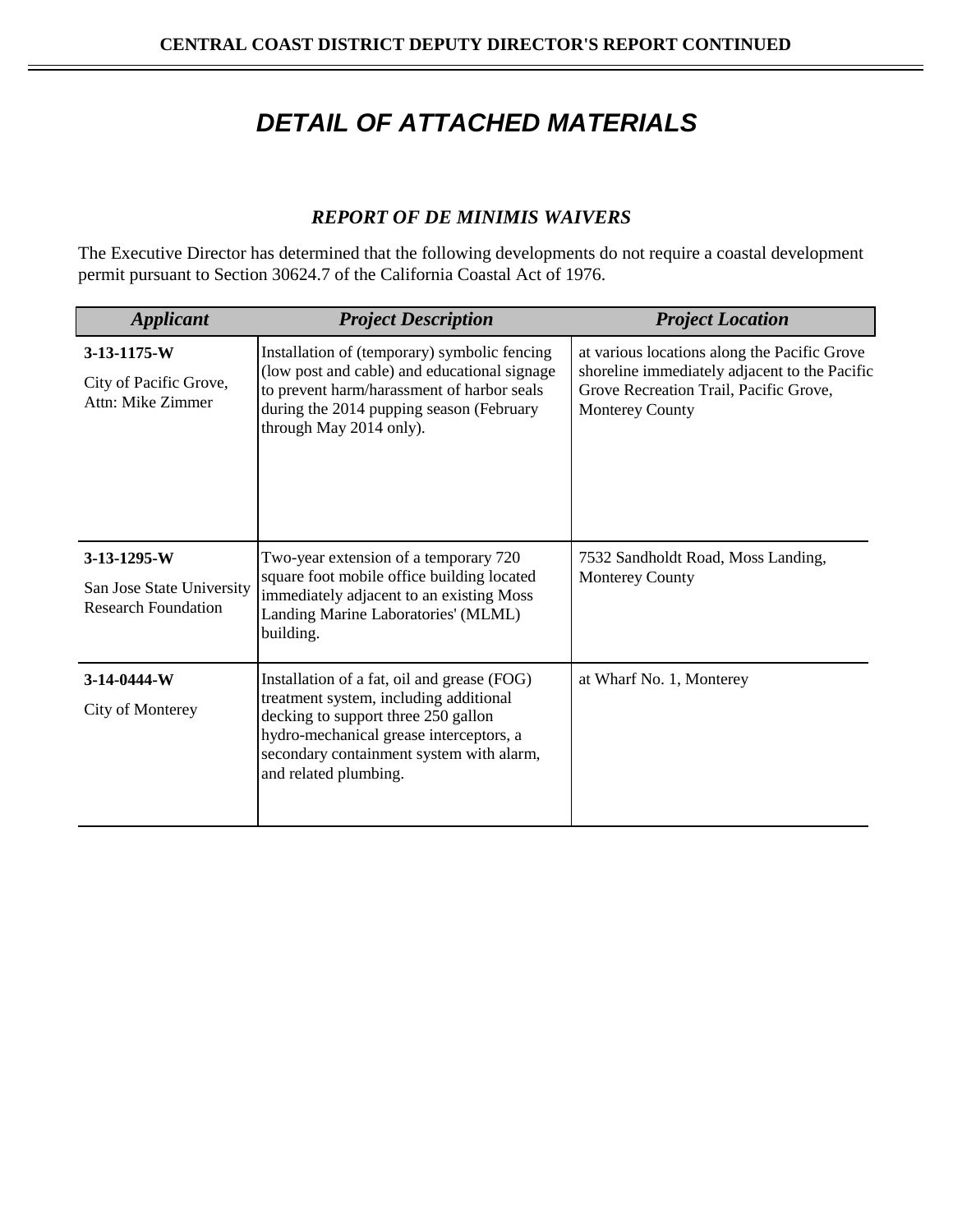# *DETAIL OF ATTACHED MATERIALS*

## *REPORT OF DE MINIMIS WAIVERS*

The Executive Director has determined that the following developments do not require a coastal development permit pursuant to Section 30624.7 of the California Coastal Act of 1976.

| <b>Applicant</b>                                                       | <b>Project Description</b>                                                                                                                                                                                                                   | <b>Project Location</b>                                                                                                                                           |
|------------------------------------------------------------------------|----------------------------------------------------------------------------------------------------------------------------------------------------------------------------------------------------------------------------------------------|-------------------------------------------------------------------------------------------------------------------------------------------------------------------|
| $3-13-1175-W$<br>City of Pacific Grove,<br>Attn: Mike Zimmer           | Installation of (temporary) symbolic fencing<br>(low post and cable) and educational signage<br>to prevent harm/harassment of harbor seals<br>during the 2014 pupping season (February<br>through May 2014 only).                            | at various locations along the Pacific Grove<br>shoreline immediately adjacent to the Pacific<br>Grove Recreation Trail, Pacific Grove,<br><b>Monterey County</b> |
| 3-13-1295-W<br>San Jose State University<br><b>Research Foundation</b> | Two-year extension of a temporary 720<br>square foot mobile office building located<br>immediately adjacent to an existing Moss<br>Landing Marine Laboratories' (MLML)<br>building.                                                          | 7532 Sandholdt Road, Moss Landing,<br><b>Monterey County</b>                                                                                                      |
| 3-14-0444-W<br>City of Monterey                                        | Installation of a fat, oil and grease (FOG)<br>treatment system, including additional<br>decking to support three 250 gallon<br>hydro-mechanical grease interceptors, a<br>secondary containment system with alarm,<br>and related plumbing. | at Wharf No. 1, Monterey                                                                                                                                          |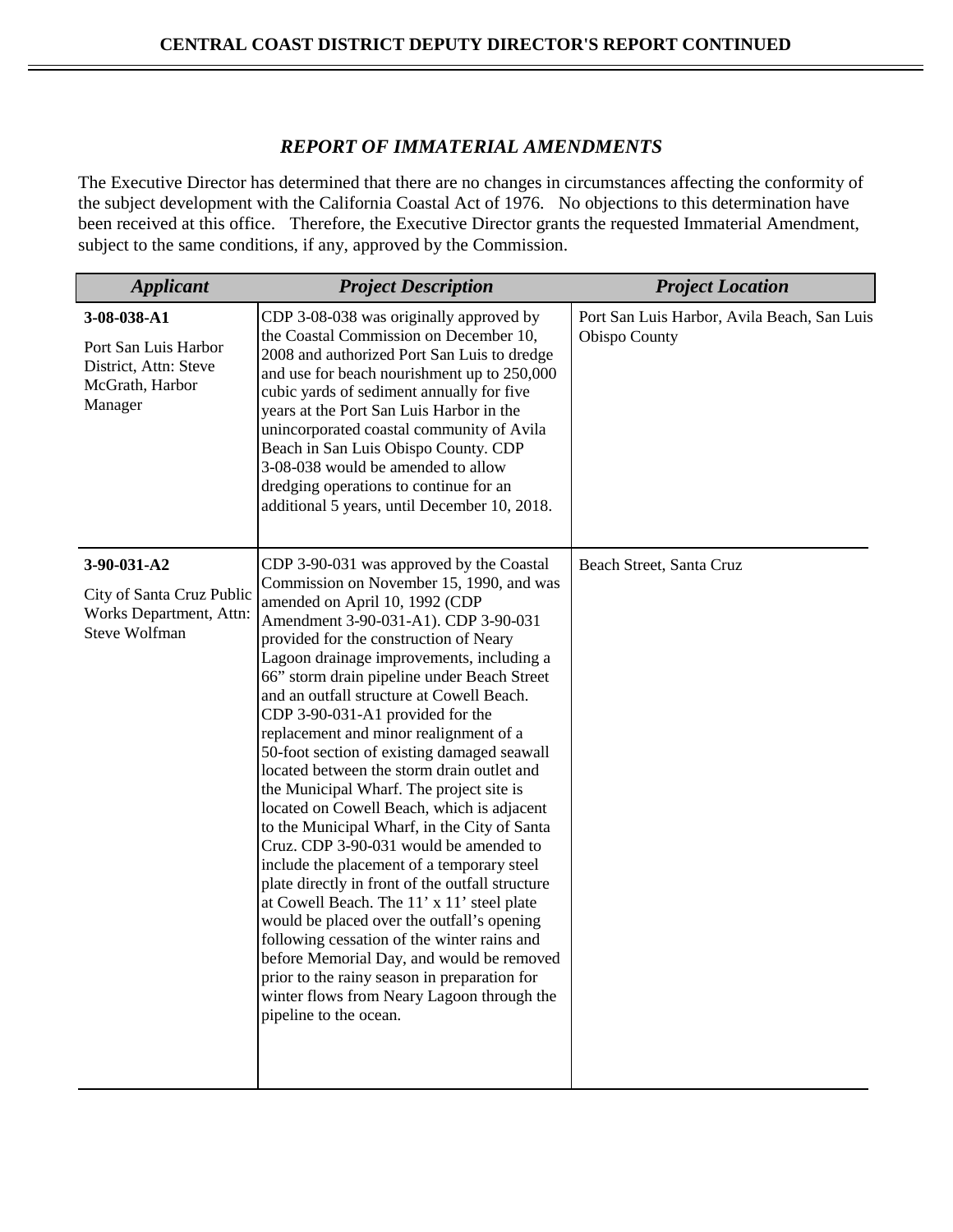#### *REPORT OF IMMATERIAL AMENDMENTS*

The Executive Director has determined that there are no changes in circumstances affecting the conformity of the subject development with the California Coastal Act of 1976. No objections to this determination have been received at this office. Therefore, the Executive Director grants the requested Immaterial Amendment, subject to the same conditions, if any, approved by the Commission.

| <b>Applicant</b>                                                                            | <b>Project Description</b>                                                                                                                                                                                                                                                                                                                                                                                                                                                                                                                                                                                                                                                                                                                                                                                                                                                                                                                                                                                                                                                                                                         | <b>Project Location</b>                                      |
|---------------------------------------------------------------------------------------------|------------------------------------------------------------------------------------------------------------------------------------------------------------------------------------------------------------------------------------------------------------------------------------------------------------------------------------------------------------------------------------------------------------------------------------------------------------------------------------------------------------------------------------------------------------------------------------------------------------------------------------------------------------------------------------------------------------------------------------------------------------------------------------------------------------------------------------------------------------------------------------------------------------------------------------------------------------------------------------------------------------------------------------------------------------------------------------------------------------------------------------|--------------------------------------------------------------|
| 3-08-038-A1<br>Port San Luis Harbor<br>District, Attn: Steve<br>McGrath, Harbor<br>Manager  | CDP 3-08-038 was originally approved by<br>the Coastal Commission on December 10,<br>2008 and authorized Port San Luis to dredge<br>and use for beach nourishment up to 250,000<br>cubic yards of sediment annually for five<br>years at the Port San Luis Harbor in the<br>unincorporated coastal community of Avila<br>Beach in San Luis Obispo County. CDP<br>3-08-038 would be amended to allow<br>dredging operations to continue for an<br>additional 5 years, until December 10, 2018.                                                                                                                                                                                                                                                                                                                                                                                                                                                                                                                                                                                                                                      | Port San Luis Harbor, Avila Beach, San Luis<br>Obispo County |
| 3-90-031-A2<br>City of Santa Cruz Public<br>Works Department, Attn:<br><b>Steve Wolfman</b> | CDP 3-90-031 was approved by the Coastal<br>Commission on November 15, 1990, and was<br>amended on April 10, 1992 (CDP<br>Amendment 3-90-031-A1). CDP 3-90-031<br>provided for the construction of Neary<br>Lagoon drainage improvements, including a<br>66" storm drain pipeline under Beach Street<br>and an outfall structure at Cowell Beach.<br>CDP 3-90-031-A1 provided for the<br>replacement and minor realignment of a<br>50-foot section of existing damaged seawall<br>located between the storm drain outlet and<br>the Municipal Wharf. The project site is<br>located on Cowell Beach, which is adjacent<br>to the Municipal Wharf, in the City of Santa<br>Cruz. CDP 3-90-031 would be amended to<br>include the placement of a temporary steel<br>plate directly in front of the outfall structure<br>at Cowell Beach. The 11' x 11' steel plate<br>would be placed over the outfall's opening<br>following cessation of the winter rains and<br>before Memorial Day, and would be removed<br>prior to the rainy season in preparation for<br>winter flows from Neary Lagoon through the<br>pipeline to the ocean. | Beach Street, Santa Cruz                                     |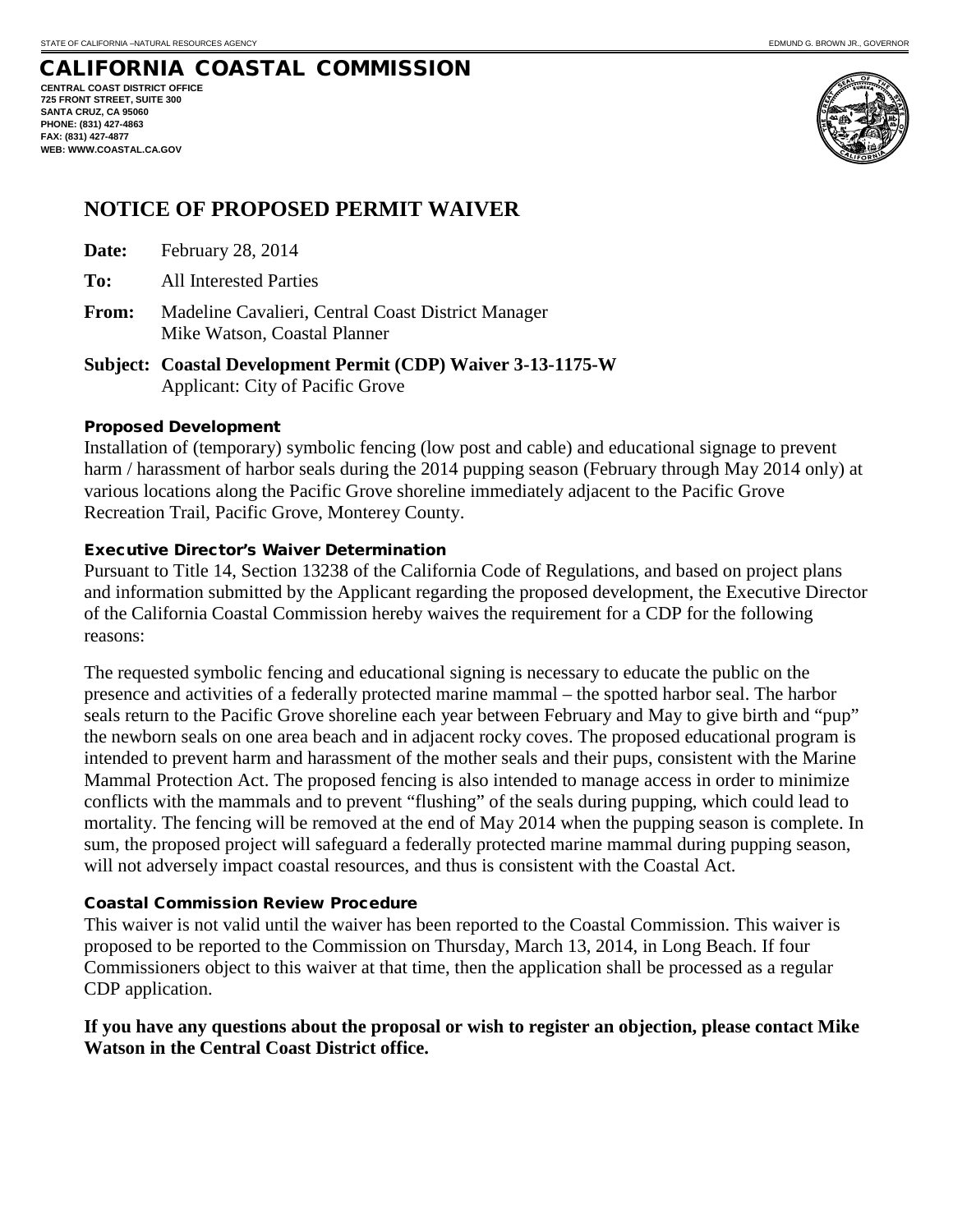**CENTRAL COAST DISTRICT OFFICE 725 FRONT STREET, SUITE 300 SANTA CRUZ, CA 95060 PHONE: (831) 427-4863 FAX: (831) 427-4877 WEB: WWW.COASTAL.CA.GOV**



# **NOTICE OF PROPOSED PERMIT WAIVER**

- **Date:** February 28, 2014
- **To:** All Interested Parties
- **From:** Madeline Cavalieri, Central Coast District Manager Mike Watson, Coastal Planner
- **Subject: Coastal Development Permit (CDP) Waiver 3-13-1175-W** Applicant: City of Pacific Grove

#### Proposed Development

Installation of (temporary) symbolic fencing (low post and cable) and educational signage to prevent harm / harassment of harbor seals during the 2014 pupping season (February through May 2014 only) at various locations along the Pacific Grove shoreline immediately adjacent to the Pacific Grove Recreation Trail, Pacific Grove, Monterey County.

#### Executive Director's Waiver Determination

Pursuant to Title 14, Section 13238 of the California Code of Regulations, and based on project plans and information submitted by the Applicant regarding the proposed development, the Executive Director of the California Coastal Commission hereby waives the requirement for a CDP for the following reasons:

The requested symbolic fencing and educational signing is necessary to educate the public on the presence and activities of a federally protected marine mammal – the spotted harbor seal. The harbor seals return to the Pacific Grove shoreline each year between February and May to give birth and "pup" the newborn seals on one area beach and in adjacent rocky coves. The proposed educational program is intended to prevent harm and harassment of the mother seals and their pups, consistent with the Marine Mammal Protection Act. The proposed fencing is also intended to manage access in order to minimize conflicts with the mammals and to prevent "flushing" of the seals during pupping, which could lead to mortality. The fencing will be removed at the end of May 2014 when the pupping season is complete. In sum, the proposed project will safeguard a federally protected marine mammal during pupping season, will not adversely impact coastal resources, and thus is consistent with the Coastal Act.

#### Coastal Commission Review Procedure

This waiver is not valid until the waiver has been reported to the Coastal Commission. This waiver is proposed to be reported to the Commission on Thursday, March 13, 2014, in Long Beach. If four Commissioners object to this waiver at that time, then the application shall be processed as a regular CDP application.

#### **If you have any questions about the proposal or wish to register an objection, please contact Mike Watson in the Central Coast District office.**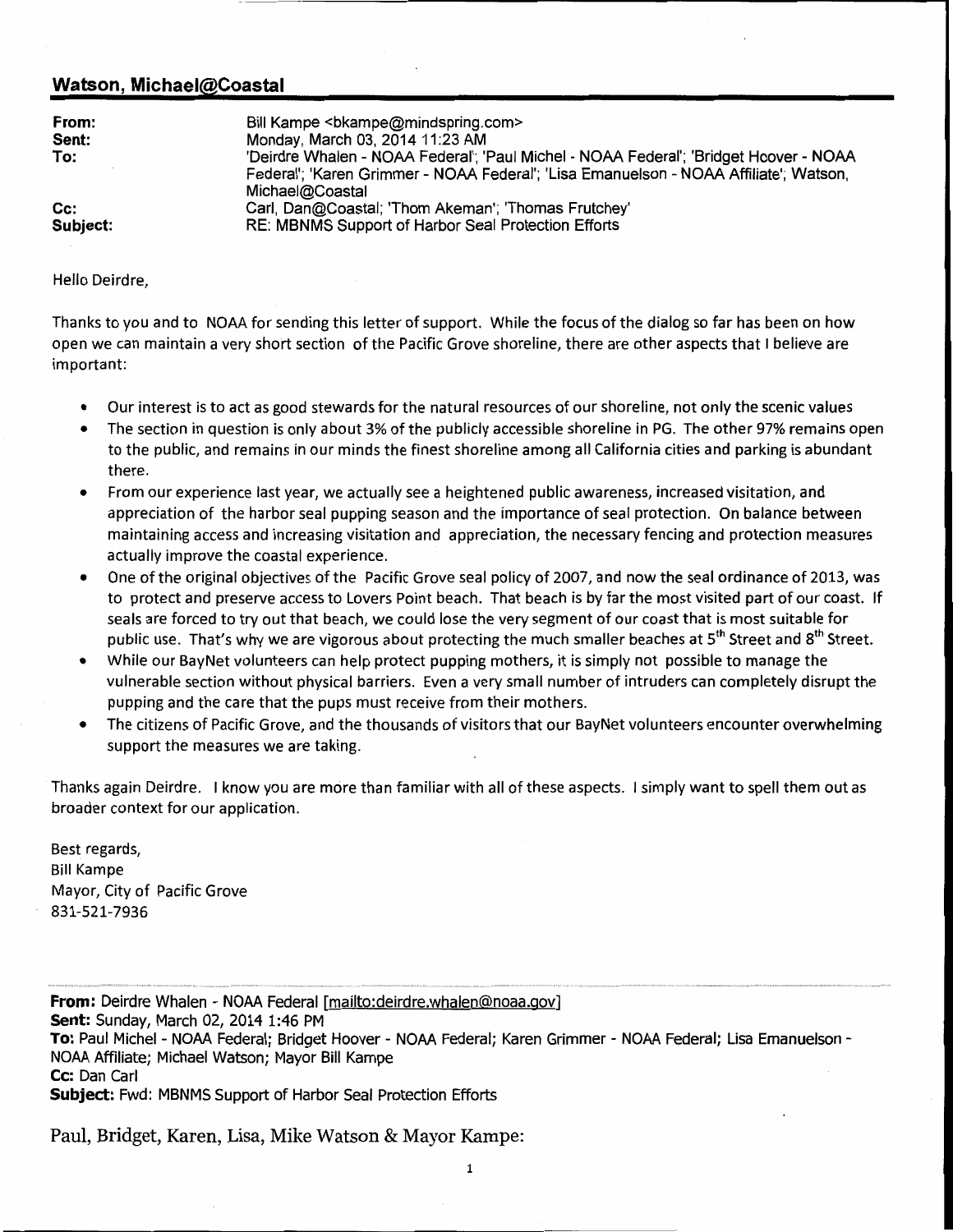#### Watson, Michael@Coastal

| Bill Kampe<br>kampe &bkampe@mindspring.com><br>Monday, March 03, 2014 11:23 AM<br>'Deirdre Whalen - NOAA Federal'; 'Paul Michel - NOAA Federal'; 'Bridget Hoover - NOAA<br>Federal'; 'Karen Grimmer - NOAA Federal'; 'Lisa Emanuelson - NOAA Affiliate'; Watson,<br>Michael@Coastal<br>Carl, Dan@Coastal; 'Thom Akeman'; 'Thomas Frutchey' |
|--------------------------------------------------------------------------------------------------------------------------------------------------------------------------------------------------------------------------------------------------------------------------------------------------------------------------------------------|
| RE: MBNMS Support of Harbor Seal Protection Efforts                                                                                                                                                                                                                                                                                        |
|                                                                                                                                                                                                                                                                                                                                            |

Hello Deirdre,

Thanks to you and to NOAA for sending this letter of support. While the focus of the dialog so far has been on how open we can maintain a very short section of the Pacific Grove shoreline, there are other aspects that I believe are important:

- Our interest is to act as good stewards for the natural resources of our shoreline, not only the scenic values
- The section in question is only about 3% of the publicly accessible shoreline in PG. The other 97% remains open to the public, and remains in our minds the finest shoreline among all California cities and parking is abundant there.
- From our experience last year, we actually see a heightened public awareness, increased visitation, and appreciation of the harbor seal pupping season and the importance of seal protection. On balance between maintaining access and increasing visitation and appreciation, the necessary fencing and protection measures actually improve the coastal experience.
- One of the original objectives of the Pacific Grove seal policy of 2007, and now the seal ordinance of 2013, was to protect and preserve access to Lovers Point beach. That beach is by far the most visited part of our coast. If seals are forced to try out that beach, we could lose the very segment of our coast that is most suitable for public use. That's why we are vigorous about protecting the much smaller beaches at 5<sup>th</sup> Street and 8<sup>th</sup> Street.
- While our BayNet volunteers can help protect pupping mothers, it is simply not possible to manage the vulnerable section without physical barriers. Even a very small number of intruders can completely disrupt the pupping and the care that the pups must receive from their mothers.
- The citizens of Pacific Grove, and the thousands of visitors that our BayNet volunteers encounter overwhelming support the measures we are taking.

Thanks again Deirdre. I know you are more than familiar with all of these aspects. I simply want to spell them out as broader context for our application.

Best regards, **Bill Kampe** Mayor, City of Pacific Grove 831-521-7936

From: Deirdre Whalen - NOAA Federal [mailto:deirdre.whalen@noaa.gov] Sent: Sunday, March 02, 2014 1:46 PM To: Paul Michel - NOAA Federal; Bridget Hoover - NOAA Federal; Karen Grimmer - NOAA Federal; Lisa Emanuelson -NOAA Affiliate; Michael Watson; Mayor Bill Kampe Cc: Dan Carl Subject: Fwd: MBNMS Support of Harbor Seal Protection Efforts

Paul, Bridget, Karen, Lisa, Mike Watson & Mayor Kampe: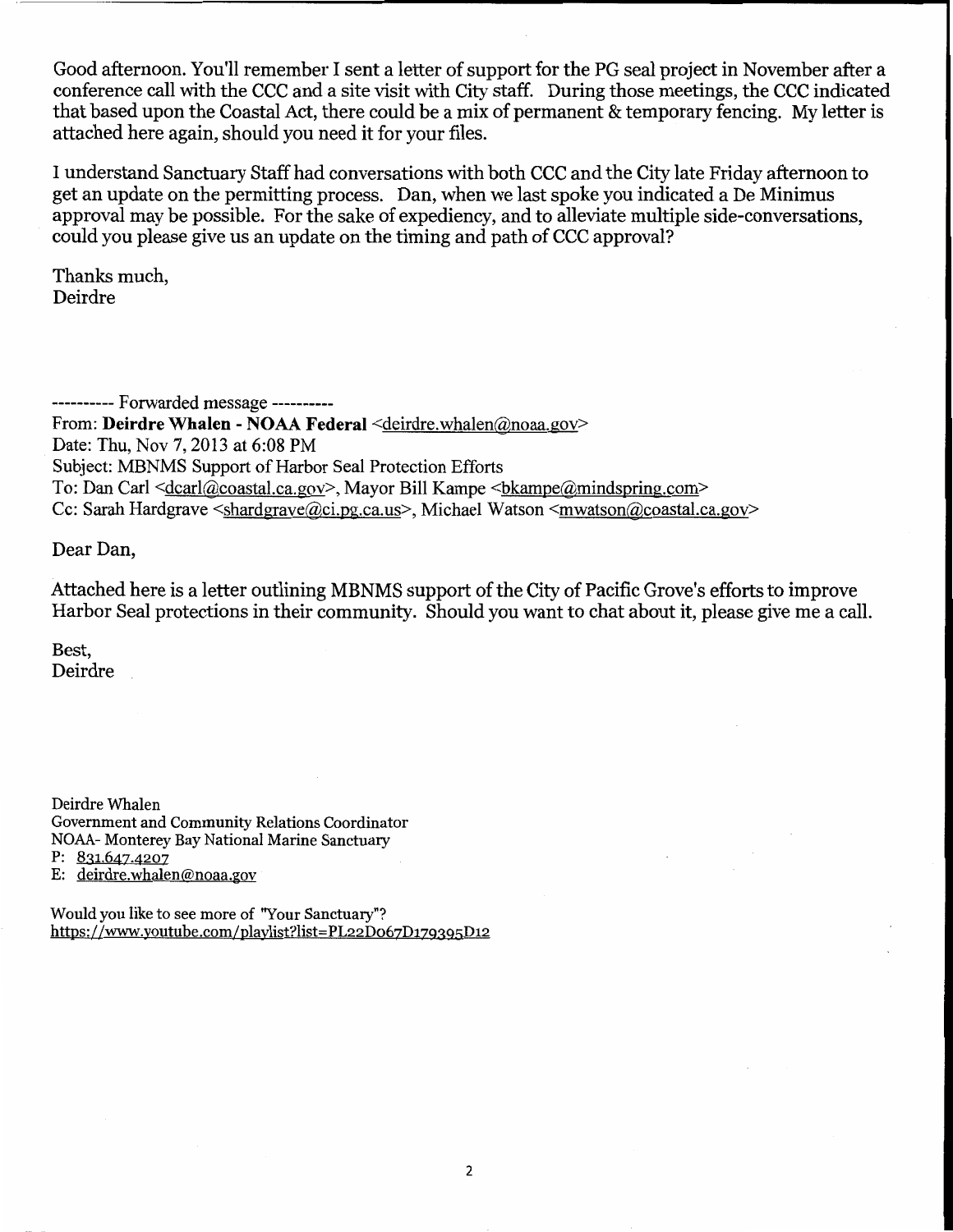Good afternoon. You'll remember I sent a letter of support for the PG seal project in November after a conference call with the CCC and a site visit with City staff. During those meetings, the CCC indicated that based upon the Coastal Act, there could be a mix of permanent & temporary fencing. My letter is attached here again, should you need it for your files.

I understand Sanctuary Staff had conversations with both CCC and the City late Friday afternoon to get an update on the permitting process. Dan, when we last spoke you indicated a De Minimus approval may be possible. For the sake of expediency, and to alleviate multiple side-conversations, could you please give us an update on the timing and path of CCC approval?

Thanks much. Deirdre

--------- Forwarded message ----------From: Deirdre Whalen - NOAA Federal <deirdre.whalen@noaa.gov> Date: Thu, Nov 7, 2013 at 6:08 PM Subject: MBNMS Support of Harbor Seal Protection Efforts To: Dan Carl <dcarl@coastal.ca.gov>, Mayor Bill Kampe <br/>bkampe@mindspring.com> Cc: Sarah Hardgrave <shardgrave@ci.pg.ca.us>, Michael Watson <mwatson@coastal.ca.gov>

Dear Dan,

Attached here is a letter outlining MBNMS support of the City of Pacific Grove's efforts to improve Harbor Seal protections in their community. Should you want to chat about it, please give me a call.

Best. Deirdre

Deirdre Whalen Government and Community Relations Coordinator NOAA- Monterey Bay National Marine Sanctuary P:  $831.647.4207$ E: deirdre.whalen@noaa.gov

Would you like to see more of "Your Sanctuary"? https://www.youtube.com/playlist?list=PL22D067D179395D12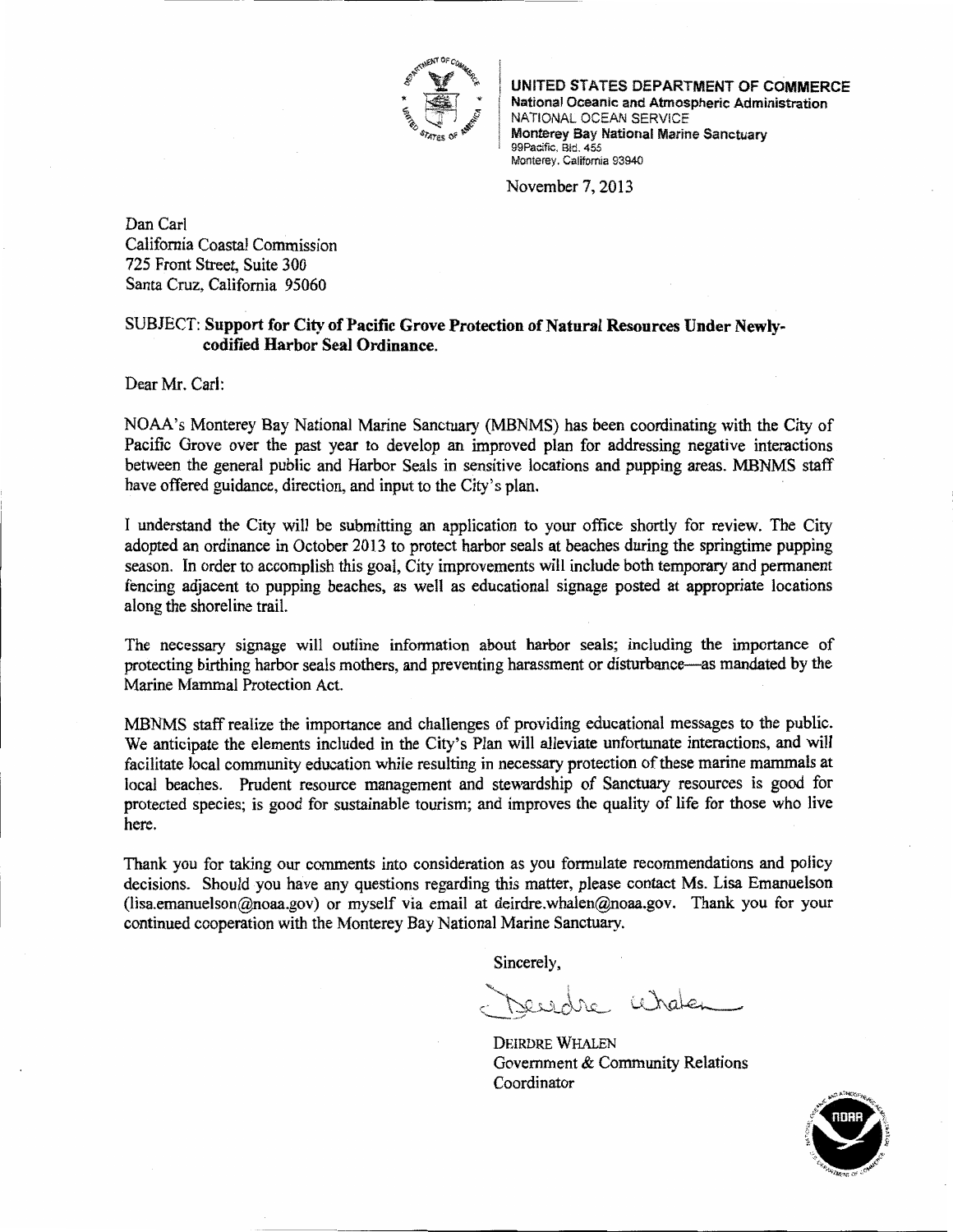

UNITED STATES DEPARTMENT OF COMMERCE National Oceanic and Atmospheric Administration NATIONAL OCEAN SERVICE Monterey Bay National Marine Sanctuary 99Pacific, Bld. 455 Monterey. California 93940

November 7, 2013

Dan Carl California Coastal Commission 725 Front Street, Suite 300 Santa Cruz, California 95060

#### SUBJECT: Support for City of Pacific Grove Protection of Natural Resources Under Newlycodified Harbor Seal Ordinance.

Dear Mr. Carl:

NOAA's Monterey Bay National Marine Sanctuary (MBNMS) has been coordinating with the City of Pacific Grove over the past year to develop an improved plan for addressing negative interactions between the general public and Harbor Seals in sensitive locations and pupping areas. MBNMS staff have offered guidance, direction, and input to the City's plan.

I understand the City will be submitting an application to your office shortly for review. The City adopted an ordinance in October 2013 to protect harbor seals at beaches during the springtime pupping season. In order to accomplish this goal, City improvements will include both temporary and permanent fencing adjacent to pupping beaches, as well as educational signage posted at appropriate locations along the shoreline trail.

The necessary signage will outline information about harbor seals; including the importance of protecting birthing harbor seals mothers, and preventing harassment or disturbance—as mandated by the Marine Mammal Protection Act.

MBNMS staff realize the importance and challenges of providing educational messages to the public. We anticipate the elements included in the City's Plan will alleviate unfortunate interactions, and will facilitate local community education while resulting in necessary protection of these marine mammals at local beaches. Prudent resource management and stewardship of Sanctuary resources is good for protected species; is good for sustainable tourism; and improves the quality of life for those who live here.

Thank you for taking our comments into consideration as you formulate recommendations and policy decisions. Should you have any questions regarding this matter, please contact Ms. Lisa Emanuelson (lisa.emanuelson@noaa.gov) or myself via email at deirdre.whalen@noaa.gov. Thank you for your continued cooperation with the Monterey Bay National Marine Sanctuary.

Sincerely,

vesdre Wraten

**DEIRDRE WHALEN** Government & Community Relations Coordinator

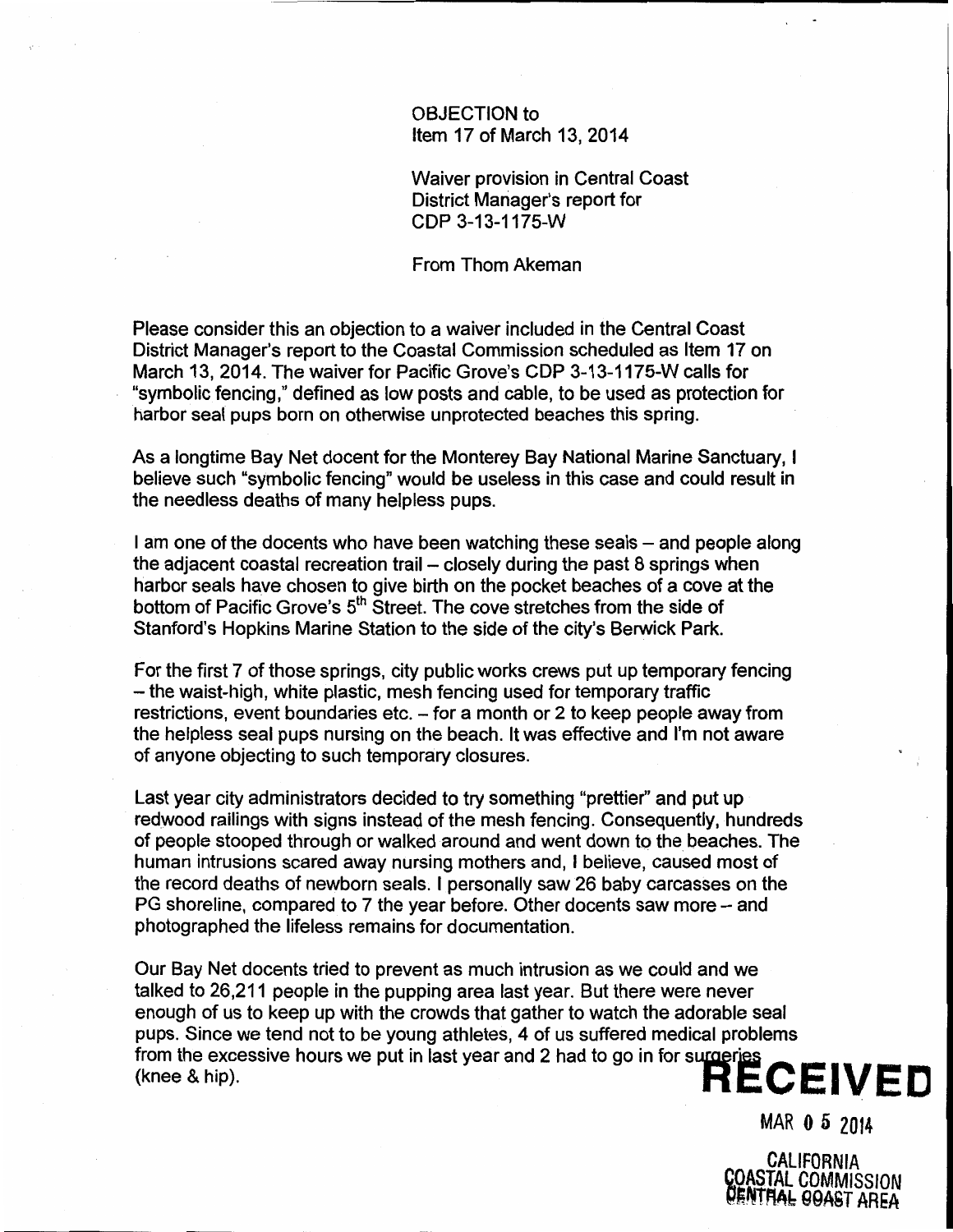#### OBJECTION to Item 17 of March 13, 2014

**Waiver provision in Central Coast** District Manager's report for CDP 3-13-1175-W

From Thom Akeman

Please consider this an objection to a waiver included in the Central Coast District Manager's report to the Coastal Commission scheduled as Item 17 on March 13, 2014. The waiver for Pacific Grove's CDP 3-13-1175-W calls for "symbolic fencing," defined as low posts and cable, to be used as protection for harbor seal pups born on otherwise unprotected beaches this spring.

As a longtime Bay Net docent for the Monterey Bay National Marine Sanctuary, I believe such "symbolic fencing" would be useless in this case and could result in the needless deaths of many helpless pups.

I am one of the docents who have been watching these seals - and people along the adjacent coastal recreation trail - closely during the past 8 springs when harbor seals have chosen to give birth on the pocket beaches of a cove at the bottom of Pacific Grove's 5<sup>th</sup> Street. The cove stretches from the side of Stanford's Hopkins Marine Station to the side of the city's Berwick Park.

For the first 7 of those springs, city public works crews put up temporary fencing - the waist-high, white plastic, mesh fencing used for temporary traffic restrictions, event boundaries etc. - for a month or 2 to keep people away from the helpless seal pups nursing on the beach. It was effective and I'm not aware of anyone objecting to such temporary closures.

Last year city administrators decided to try something "prettier" and put up redwood railings with signs instead of the mesh fencing. Consequently, hundreds of people stooped through or walked around and went down to the beaches. The human intrusions scared away nursing mothers and, I believe, caused most of the record deaths of newborn seals. I personally saw 26 baby carcasses on the PG shoreline, compared to 7 the year before. Other docents saw more - and photographed the lifeless remains for documentation.

Our Bay Net docents tried to prevent as much intrusion as we could and we talked to 26,211 people in the pupping area last year. But there were never enough of us to keep up with the crowds that gather to watch the adorable seal pups. Since we tend not to be young athletes, 4 or us surrous model in the excessive hours we put in last year and 2 had to go in for surgeries **RECEIVED** 

MAR 0 5 2014

CALIFORNIA **COASTAL COMMISSION** ENTHAL OOAST AREA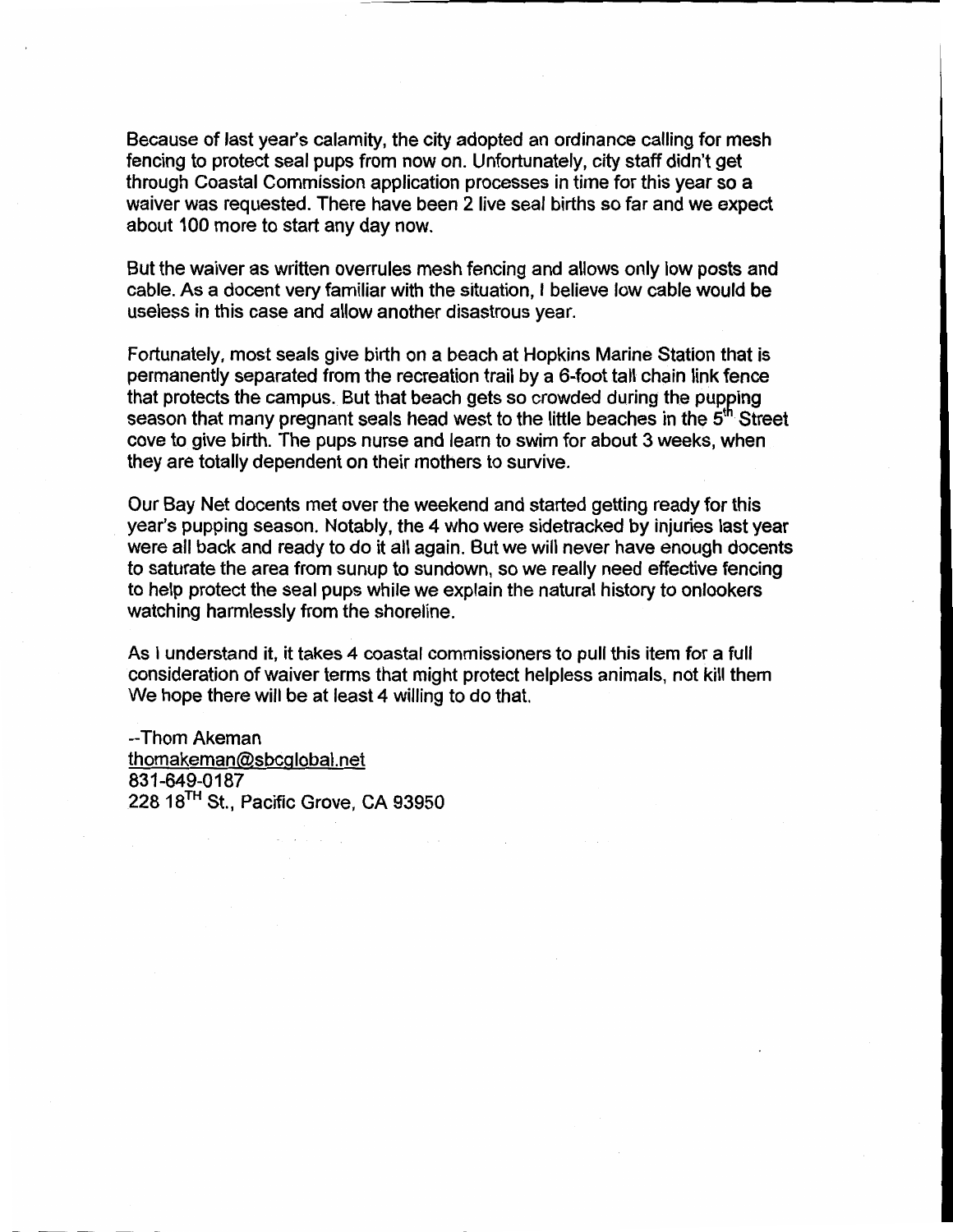Because of last year's calamity, the city adopted an ordinance calling for mesh fencing to protect seal pups from now on. Unfortunately, city staff didn't get through Coastal Commission application processes in time for this year so a waiver was requested. There have been 2 live seal births so far and we expect about 100 more to start any day now.

But the waiver as written overrules mesh fencing and allows only low posts and cable. As a docent very familiar with the situation, I believe low cable would be useless in this case and allow another disastrous vear.

Fortunately, most seals give birth on a beach at Hopkins Marine Station that is permanently separated from the recreation trail by a 6-foot tall chain link fence that protects the campus. But that beach gets so crowded during the pupping season that many pregnant seals head west to the little beaches in the 5<sup>th</sup> Street cove to give birth. The pups nurse and learn to swim for about 3 weeks, when they are totally dependent on their mothers to survive.

Our Bay Net docents met over the weekend and started getting ready for this year's pupping season. Notably, the 4 who were sidetracked by injuries last year were all back and ready to do it all again. But we will never have enough docents to saturate the area from sunup to sundown, so we really need effective fencing to help protect the seal pups while we explain the natural history to onlookers watching harmlessly from the shoreline.

As I understand it, it takes 4 coastal commissioners to pull this item for a full consideration of waiver terms that might protect helpless animals, not kill them We hope there will be at least 4 willing to do that.

--Thom Akeman thomakeman@sbcglobal.net 831-649-0187 228 18<sup>TH</sup> St., Pacific Grove, CA 93950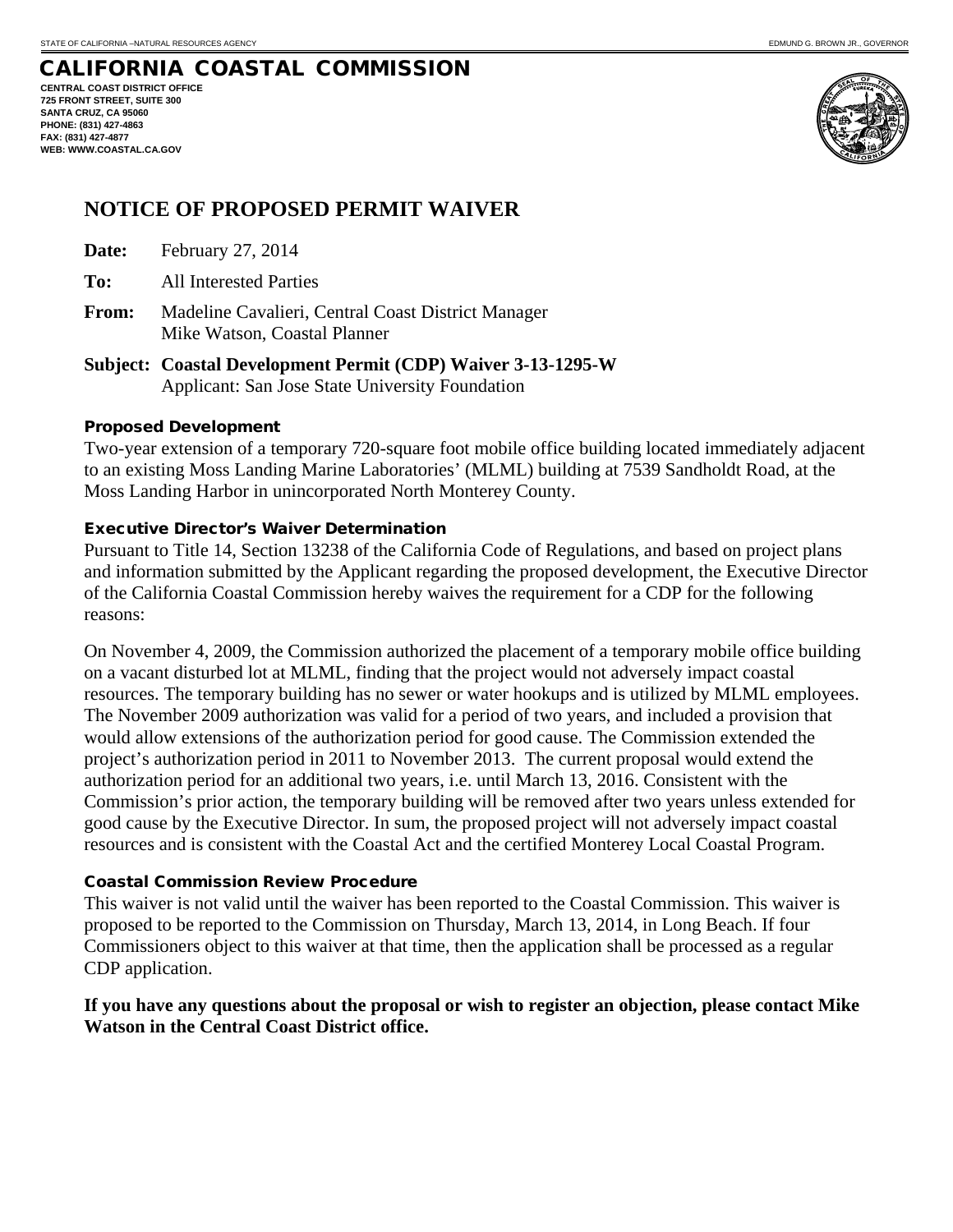**CENTRAL COAST DISTRICT OFFICE 725 FRONT STREET, SUITE 300 SANTA CRUZ, CA 95060 PHONE: (831) 427-4863 FAX: (831) 427-4877 WEB: WWW.COASTAL.CA.GOV** 



# **NOTICE OF PROPOSED PERMIT WAIVER**

- **Date:** February 27, 2014
- **To:** All Interested Parties
- **From:** Madeline Cavalieri, Central Coast District Manager Mike Watson, Coastal Planner
- **Subject: Coastal Development Permit (CDP) Waiver 3-13-1295-W**  Applicant: San Jose State University Foundation

#### Proposed Development

Two-year extension of a temporary 720-square foot mobile office building located immediately adjacent to an existing Moss Landing Marine Laboratories' (MLML) building at 7539 Sandholdt Road, at the Moss Landing Harbor in unincorporated North Monterey County.

#### Executive Director's Waiver Determination

Pursuant to Title 14, Section 13238 of the California Code of Regulations, and based on project plans and information submitted by the Applicant regarding the proposed development, the Executive Director of the California Coastal Commission hereby waives the requirement for a CDP for the following reasons:

On November 4, 2009, the Commission authorized the placement of a temporary mobile office building on a vacant disturbed lot at MLML, finding that the project would not adversely impact coastal resources. The temporary building has no sewer or water hookups and is utilized by MLML employees. The November 2009 authorization was valid for a period of two years, and included a provision that would allow extensions of the authorization period for good cause. The Commission extended the project's authorization period in 2011 to November 2013. The current proposal would extend the authorization period for an additional two years, i.e. until March 13, 2016. Consistent with the Commission's prior action, the temporary building will be removed after two years unless extended for good cause by the Executive Director. In sum, the proposed project will not adversely impact coastal resources and is consistent with the Coastal Act and the certified Monterey Local Coastal Program.

#### Coastal Commission Review Procedure

This waiver is not valid until the waiver has been reported to the Coastal Commission. This waiver is proposed to be reported to the Commission on Thursday, March 13, 2014, in Long Beach. If four Commissioners object to this waiver at that time, then the application shall be processed as a regular CDP application.

#### **If you have any questions about the proposal or wish to register an objection, please contact Mike Watson in the Central Coast District office.**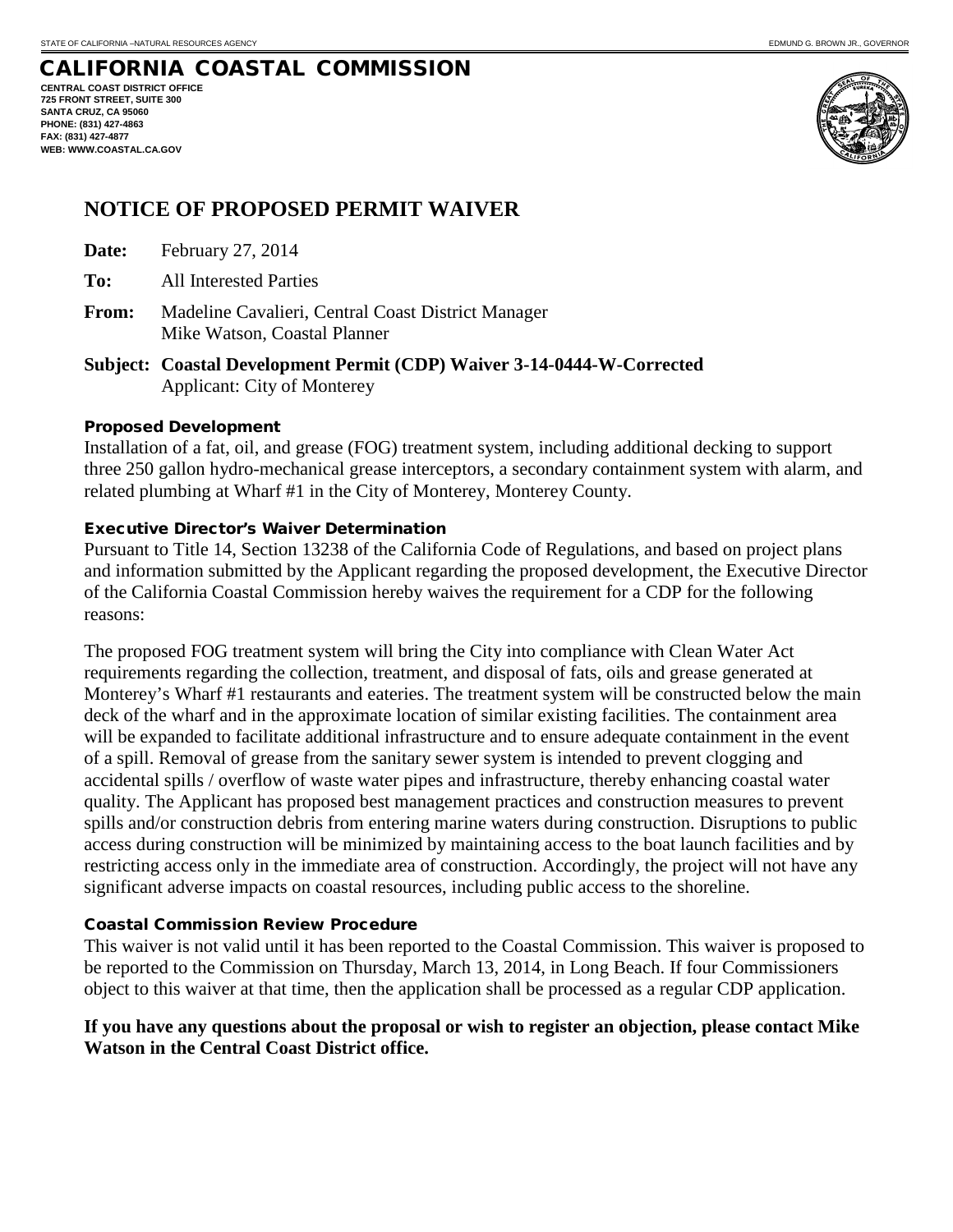**CENTRAL COAST DISTRICT OFFICE 725 FRONT STREET, SUITE 300 SANTA CRUZ, CA 95060 PHONE: (831) 427-4863 FAX: (831) 427-4877 WEB: WWW.COASTAL.CA.GOV**



# **NOTICE OF PROPOSED PERMIT WAIVER**

- **Date:** February 27, 2014
- **To:** All Interested Parties
- **From:** Madeline Cavalieri, Central Coast District Manager Mike Watson, Coastal Planner
- **Subject: Coastal Development Permit (CDP) Waiver 3-14-0444-W-Corrected**  Applicant: City of Monterey

#### Proposed Development

Installation of a fat, oil, and grease (FOG) treatment system, including additional decking to support three 250 gallon hydro-mechanical grease interceptors, a secondary containment system with alarm, and related plumbing at Wharf #1 in the City of Monterey, Monterey County.

#### Executive Director's Waiver Determination

Pursuant to Title 14, Section 13238 of the California Code of Regulations, and based on project plans and information submitted by the Applicant regarding the proposed development, the Executive Director of the California Coastal Commission hereby waives the requirement for a CDP for the following reasons:

The proposed FOG treatment system will bring the City into compliance with Clean Water Act requirements regarding the collection, treatment, and disposal of fats, oils and grease generated at Monterey's Wharf #1 restaurants and eateries. The treatment system will be constructed below the main deck of the wharf and in the approximate location of similar existing facilities. The containment area will be expanded to facilitate additional infrastructure and to ensure adequate containment in the event of a spill. Removal of grease from the sanitary sewer system is intended to prevent clogging and accidental spills / overflow of waste water pipes and infrastructure, thereby enhancing coastal water quality. The Applicant has proposed best management practices and construction measures to prevent spills and/or construction debris from entering marine waters during construction. Disruptions to public access during construction will be minimized by maintaining access to the boat launch facilities and by restricting access only in the immediate area of construction. Accordingly, the project will not have any significant adverse impacts on coastal resources, including public access to the shoreline.

#### Coastal Commission Review Procedure

This waiver is not valid until it has been reported to the Coastal Commission. This waiver is proposed to be reported to the Commission on Thursday, March 13, 2014, in Long Beach. If four Commissioners object to this waiver at that time, then the application shall be processed as a regular CDP application.

#### **If you have any questions about the proposal or wish to register an objection, please contact Mike Watson in the Central Coast District office.**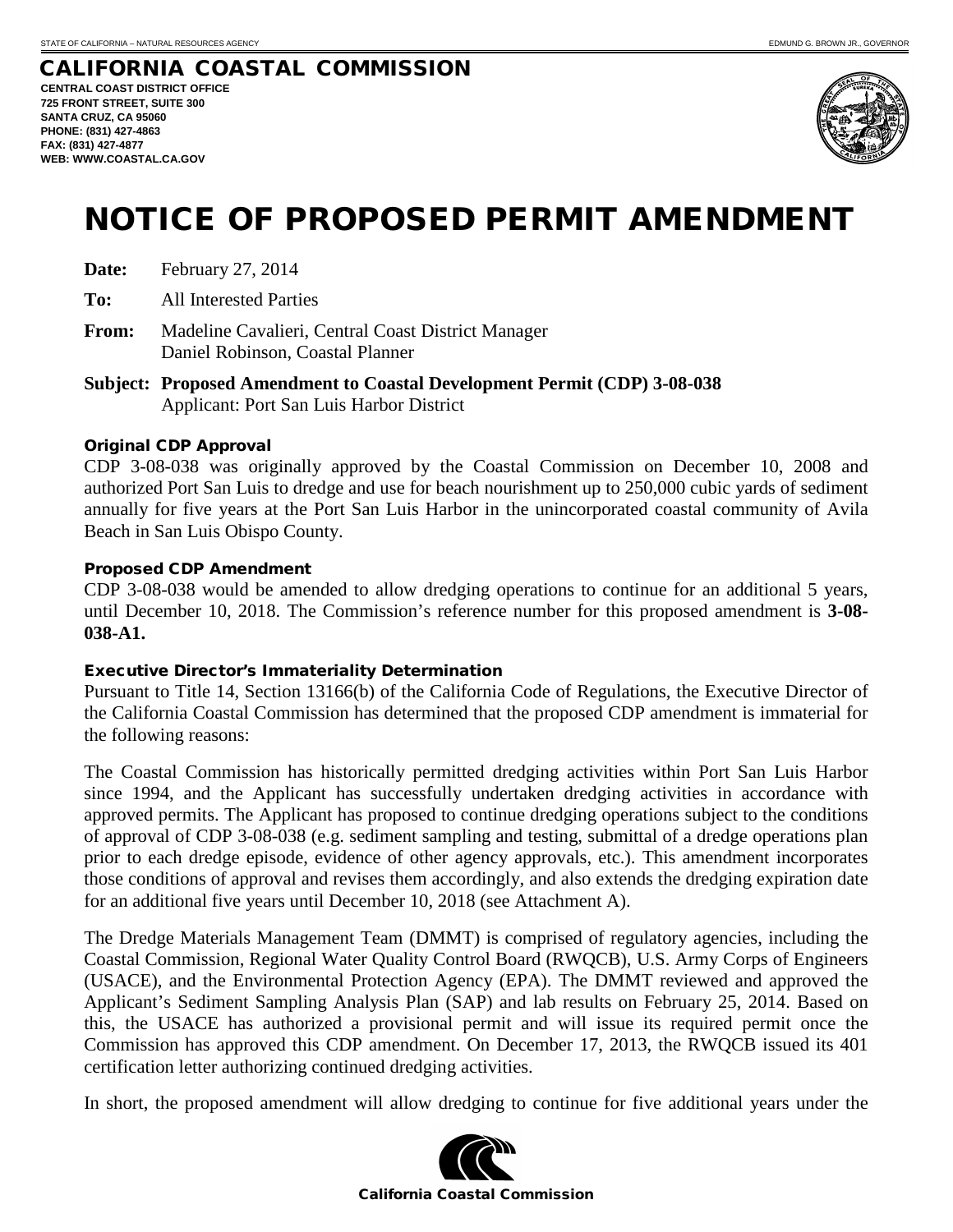#### CALIFORNIA COASTAL COMMISSION **CENTRAL COAST DISTRICT OFFICE 725 FRONT STREET, SUITE 300 SANTA CRUZ, CA 95060 PHONE: (831) 427-4863 FAX: (831) 427-4877 WEB: WWW.COASTAL.CA.GOV**



# NOTICE OF PROPOSED PERMIT AMENDMENT

| Date: | February 27, 2014 |  |
|-------|-------------------|--|
|-------|-------------------|--|

**To:** All Interested Parties

- **From:** Madeline Cavalieri, Central Coast District Manager Daniel Robinson, Coastal Planner
- **Subject: Proposed Amendment to Coastal Development Permit (CDP) 3-08-038** Applicant: Port San Luis Harbor District

#### Original CDP Approval

CDP 3-08-038 was originally approved by the Coastal Commission on December 10, 2008 and authorized Port San Luis to dredge and use for beach nourishment up to 250,000 cubic yards of sediment annually for five years at the Port San Luis Harbor in the unincorporated coastal community of Avila Beach in San Luis Obispo County.

#### Proposed CDP Amendment

CDP 3-08-038 would be amended to allow dredging operations to continue for an additional 5 years, until December 10, 2018. The Commission's reference number for this proposed amendment is **3-08- 038-A1.**

#### Executive Director's Immateriality Determination

Pursuant to Title 14, Section 13166(b) of the California Code of Regulations, the Executive Director of the California Coastal Commission has determined that the proposed CDP amendment is immaterial for the following reasons:

The Coastal Commission has historically permitted dredging activities within Port San Luis Harbor since 1994, and the Applicant has successfully undertaken dredging activities in accordance with approved permits. The Applicant has proposed to continue dredging operations subject to the conditions of approval of CDP 3-08-038 (e.g. sediment sampling and testing, submittal of a dredge operations plan prior to each dredge episode, evidence of other agency approvals, etc.). This amendment incorporates those conditions of approval and revises them accordingly, and also extends the dredging expiration date for an additional five years until December 10, 2018 (see Attachment A).

The Dredge Materials Management Team (DMMT) is comprised of regulatory agencies, including the Coastal Commission, Regional Water Quality Control Board (RWQCB), U.S. Army Corps of Engineers (USACE), and the Environmental Protection Agency (EPA). The DMMT reviewed and approved the Applicant's Sediment Sampling Analysis Plan (SAP) and lab results on February 25, 2014. Based on this, the USACE has authorized a provisional permit and will issue its required permit once the Commission has approved this CDP amendment. On December 17, 2013, the RWQCB issued its 401 certification letter authorizing continued dredging activities.

In short, the proposed amendment will allow dredging to continue for five additional years under the

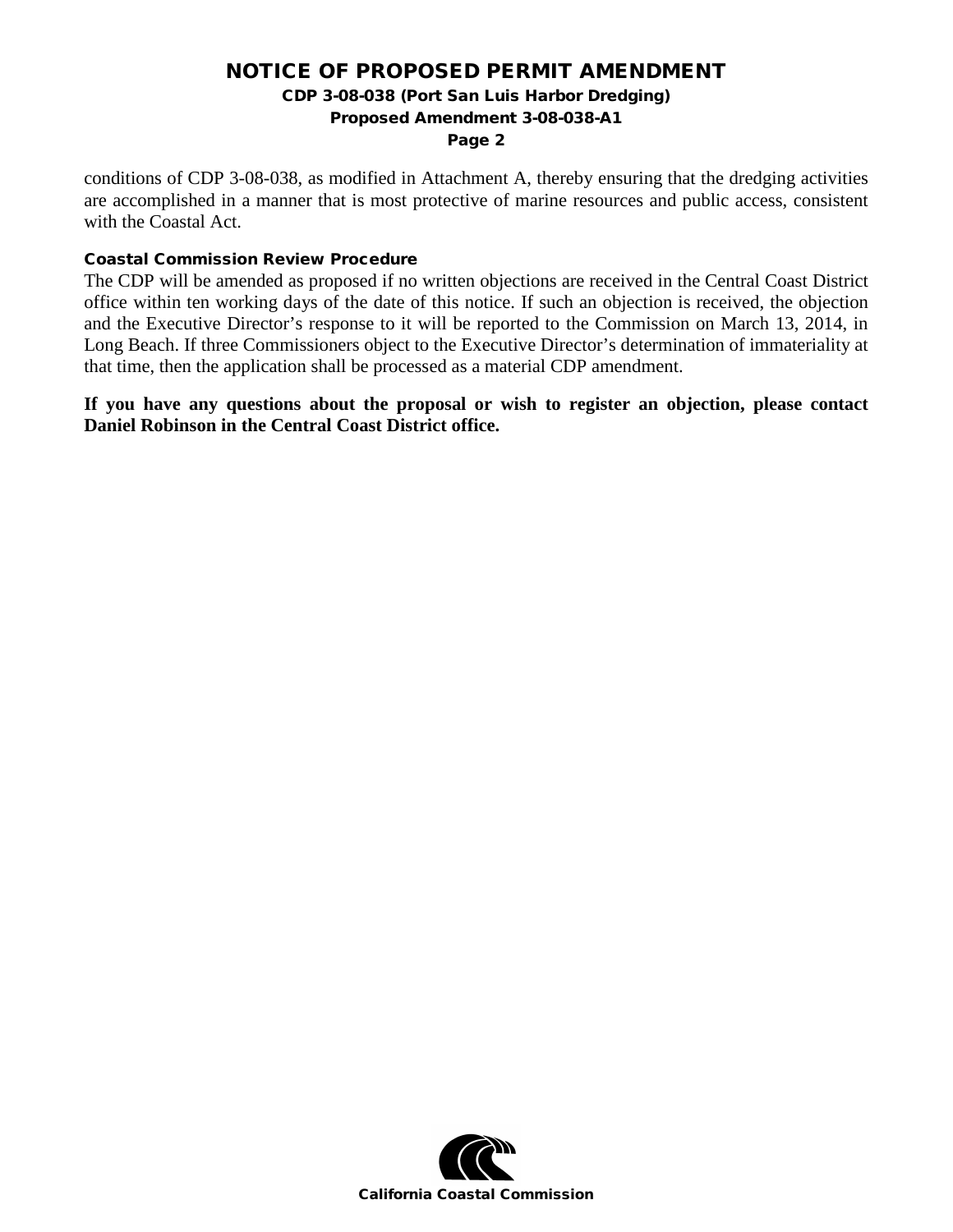## NOTICE OF PROPOSED PERMIT AMENDMENT

CDP 3-08-038 (Port San Luis Harbor Dredging)

Proposed Amendment 3-08-038-A1

#### Page 2

conditions of CDP 3-08-038, as modified in Attachment A, thereby ensuring that the dredging activities are accomplished in a manner that is most protective of marine resources and public access, consistent with the Coastal Act.

#### Coastal Commission Review Procedure

The CDP will be amended as proposed if no written objections are received in the Central Coast District office within ten working days of the date of this notice. If such an objection is received, the objection and the Executive Director's response to it will be reported to the Commission on March 13, 2014, in Long Beach. If three Commissioners object to the Executive Director's determination of immateriality at that time, then the application shall be processed as a material CDP amendment.

**If you have any questions about the proposal or wish to register an objection, please contact Daniel Robinson in the Central Coast District office.** 

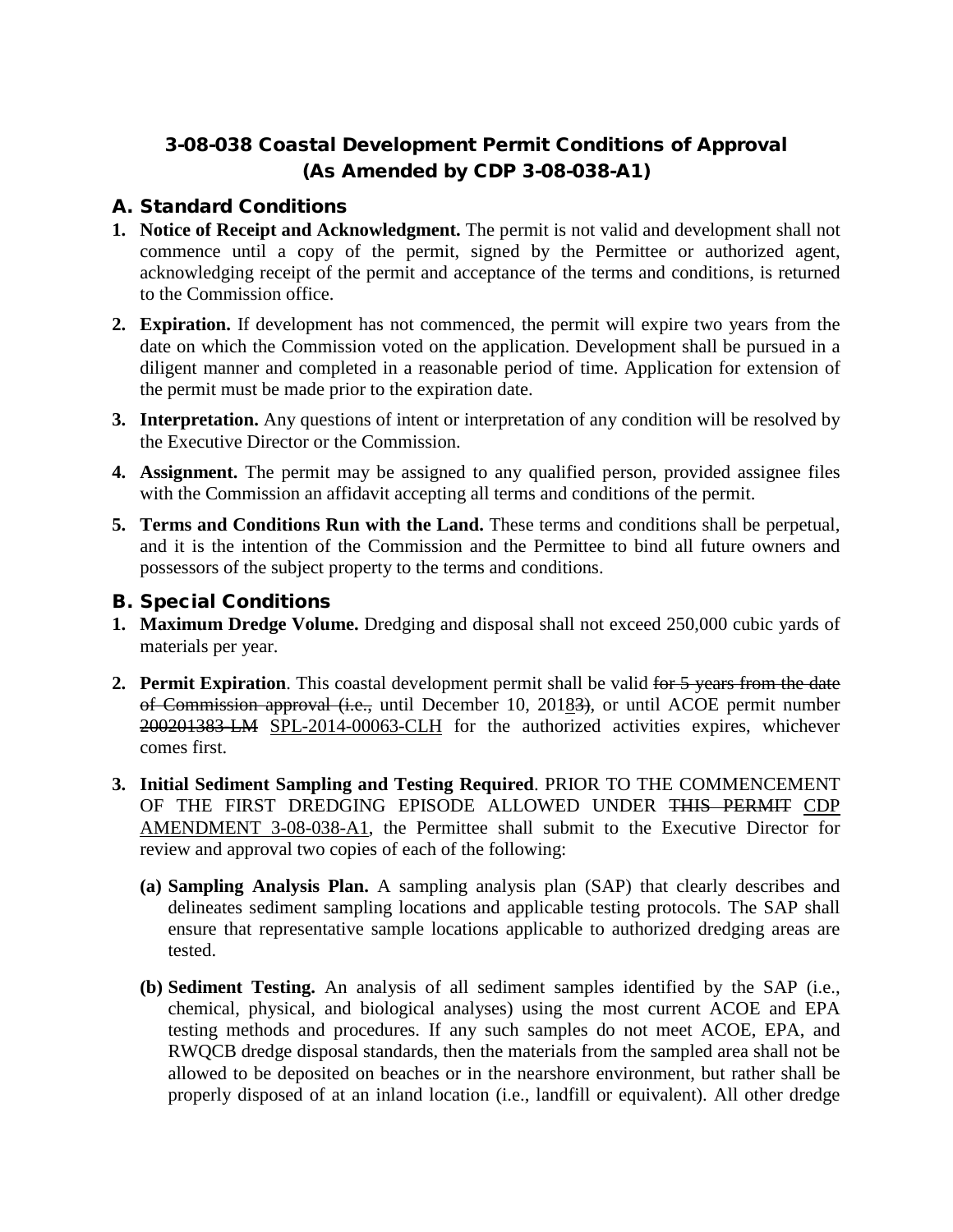# 3-08-038 Coastal Development Permit Conditions of Approval (As Amended by CDP 3-08-038-A1)

## A. Standard Conditions

- **1. Notice of Receipt and Acknowledgment.** The permit is not valid and development shall not commence until a copy of the permit, signed by the Permittee or authorized agent, acknowledging receipt of the permit and acceptance of the terms and conditions, is returned to the Commission office.
- **2. Expiration.** If development has not commenced, the permit will expire two years from the date on which the Commission voted on the application. Development shall be pursued in a diligent manner and completed in a reasonable period of time. Application for extension of the permit must be made prior to the expiration date.
- **3. Interpretation.** Any questions of intent or interpretation of any condition will be resolved by the Executive Director or the Commission.
- **4. Assignment.** The permit may be assigned to any qualified person, provided assignee files with the Commission an affidavit accepting all terms and conditions of the permit.
- **5. Terms and Conditions Run with the Land.** These terms and conditions shall be perpetual, and it is the intention of the Commission and the Permittee to bind all future owners and possessors of the subject property to the terms and conditions.

## B. Special Conditions

- **1. Maximum Dredge Volume.** Dredging and disposal shall not exceed 250,000 cubic yards of materials per year.
- **2. Permit Expiration**. This coastal development permit shall be valid for 5 years from the date of Commission approval (i.e., until December 10, 20183), or until ACOE permit number 200201383-LM SPL-2014-00063-CLH for the authorized activities expires, whichever comes first.
- **3. Initial Sediment Sampling and Testing Required**. PRIOR TO THE COMMENCEMENT OF THE FIRST DREDGING EPISODE ALLOWED UNDER THIS PERMIT CDP AMENDMENT 3-08-038-A1, the Permittee shall submit to the Executive Director for review and approval two copies of each of the following:
	- **(a) Sampling Analysis Plan.** A sampling analysis plan (SAP) that clearly describes and delineates sediment sampling locations and applicable testing protocols. The SAP shall ensure that representative sample locations applicable to authorized dredging areas are tested.
	- **(b) Sediment Testing.** An analysis of all sediment samples identified by the SAP (i.e., chemical, physical, and biological analyses) using the most current ACOE and EPA testing methods and procedures. If any such samples do not meet ACOE, EPA, and RWQCB dredge disposal standards, then the materials from the sampled area shall not be allowed to be deposited on beaches or in the nearshore environment, but rather shall be properly disposed of at an inland location (i.e., landfill or equivalent). All other dredge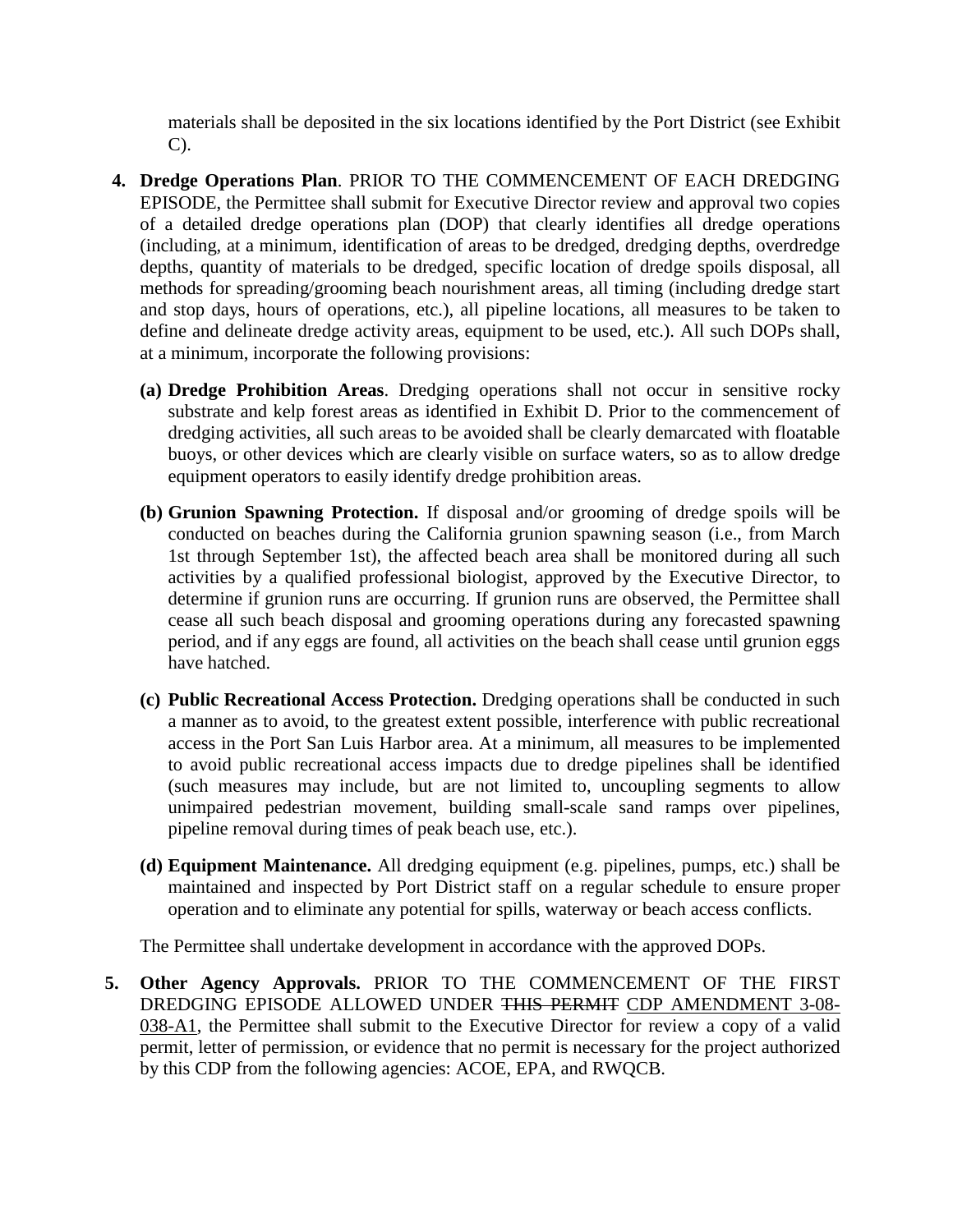materials shall be deposited in the six locations identified by the Port District (see Exhibit C).

- **4. Dredge Operations Plan**. PRIOR TO THE COMMENCEMENT OF EACH DREDGING EPISODE, the Permittee shall submit for Executive Director review and approval two copies of a detailed dredge operations plan (DOP) that clearly identifies all dredge operations (including, at a minimum, identification of areas to be dredged, dredging depths, overdredge depths, quantity of materials to be dredged, specific location of dredge spoils disposal, all methods for spreading/grooming beach nourishment areas, all timing (including dredge start and stop days, hours of operations, etc.), all pipeline locations, all measures to be taken to define and delineate dredge activity areas, equipment to be used, etc.). All such DOPs shall, at a minimum, incorporate the following provisions:
	- **(a) Dredge Prohibition Areas**. Dredging operations shall not occur in sensitive rocky substrate and kelp forest areas as identified in Exhibit D. Prior to the commencement of dredging activities, all such areas to be avoided shall be clearly demarcated with floatable buoys, or other devices which are clearly visible on surface waters, so as to allow dredge equipment operators to easily identify dredge prohibition areas.
	- **(b) Grunion Spawning Protection.** If disposal and/or grooming of dredge spoils will be conducted on beaches during the California grunion spawning season (i.e., from March 1st through September 1st), the affected beach area shall be monitored during all such activities by a qualified professional biologist, approved by the Executive Director, to determine if grunion runs are occurring. If grunion runs are observed, the Permittee shall cease all such beach disposal and grooming operations during any forecasted spawning period, and if any eggs are found, all activities on the beach shall cease until grunion eggs have hatched.
	- **(c) Public Recreational Access Protection.** Dredging operations shall be conducted in such a manner as to avoid, to the greatest extent possible, interference with public recreational access in the Port San Luis Harbor area. At a minimum, all measures to be implemented to avoid public recreational access impacts due to dredge pipelines shall be identified (such measures may include, but are not limited to, uncoupling segments to allow unimpaired pedestrian movement, building small-scale sand ramps over pipelines, pipeline removal during times of peak beach use, etc.).
	- **(d) Equipment Maintenance.** All dredging equipment (e.g. pipelines, pumps, etc.) shall be maintained and inspected by Port District staff on a regular schedule to ensure proper operation and to eliminate any potential for spills, waterway or beach access conflicts.

The Permittee shall undertake development in accordance with the approved DOPs.

**5. Other Agency Approvals.** PRIOR TO THE COMMENCEMENT OF THE FIRST DREDGING EPISODE ALLOWED UNDER THIS PERMIT CDP AMENDMENT 3-08- 038-A1, the Permittee shall submit to the Executive Director for review a copy of a valid permit, letter of permission, or evidence that no permit is necessary for the project authorized by this CDP from the following agencies: ACOE, EPA, and RWQCB.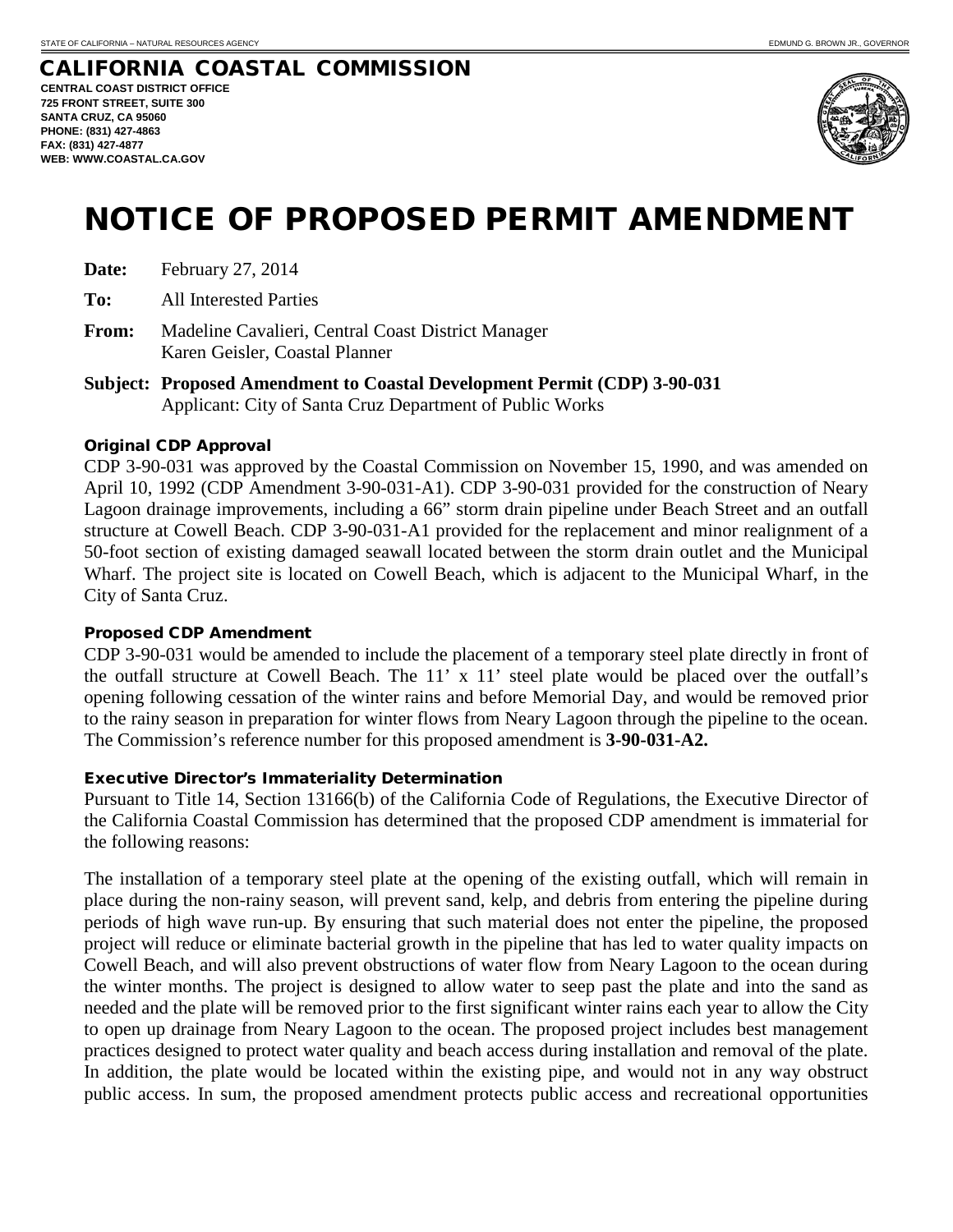#### CALIFORNIA COASTAL COMMISSION **CENTRAL COAST DISTRICT OFFICE 725 FRONT STREET, SUITE 300 SANTA CRUZ, CA 95060 PHONE: (831) 427-4863 FAX: (831) 427-4877 WEB: WWW.COASTAL.CA.GOV**



# NOTICE OF PROPOSED PERMIT AMENDMENT

| Date: | February 27, 2014 |
|-------|-------------------|
|-------|-------------------|

**To:** All Interested Parties

**From:** Madeline Cavalieri, Central Coast District Manager Karen Geisler, Coastal Planner

**Subject: Proposed Amendment to Coastal Development Permit (CDP) 3-90-031** Applicant: City of Santa Cruz Department of Public Works

#### Original CDP Approval

CDP 3-90-031 was approved by the Coastal Commission on November 15, 1990, and was amended on April 10, 1992 (CDP Amendment 3-90-031-A1). CDP 3-90-031 provided for the construction of Neary Lagoon drainage improvements, including a 66" storm drain pipeline under Beach Street and an outfall structure at Cowell Beach. CDP 3-90-031-A1 provided for the replacement and minor realignment of a 50-foot section of existing damaged seawall located between the storm drain outlet and the Municipal Wharf. The project site is located on Cowell Beach, which is adjacent to the Municipal Wharf, in the City of Santa Cruz.

#### Proposed CDP Amendment

CDP 3-90-031 would be amended to include the placement of a temporary steel plate directly in front of the outfall structure at Cowell Beach. The 11' x 11' steel plate would be placed over the outfall's opening following cessation of the winter rains and before Memorial Day, and would be removed prior to the rainy season in preparation for winter flows from Neary Lagoon through the pipeline to the ocean. The Commission's reference number for this proposed amendment is **3-90-031-A2.**

#### Executive Director's Immateriality Determination

Pursuant to Title 14, Section 13166(b) of the California Code of Regulations, the Executive Director of the California Coastal Commission has determined that the proposed CDP amendment is immaterial for the following reasons:

The installation of a temporary steel plate at the opening of the existing outfall, which will remain in place during the non-rainy season, will prevent sand, kelp, and debris from entering the pipeline during periods of high wave run-up. By ensuring that such material does not enter the pipeline, the proposed project will reduce or eliminate bacterial growth in the pipeline that has led to water quality impacts on Cowell Beach, and will also prevent obstructions of water flow from Neary Lagoon to the ocean during the winter months. The project is designed to allow water to seep past the plate and into the sand as needed and the plate will be removed prior to the first significant winter rains each year to allow the City to open up drainage from Neary Lagoon to the ocean. The proposed project includes best management practices designed to protect water quality and beach access during installation and removal of the plate. In addition, the plate would be located within the existing pipe, and would not in any way obstruct public access. In sum, the proposed amendment protects public access and recreational opportunities